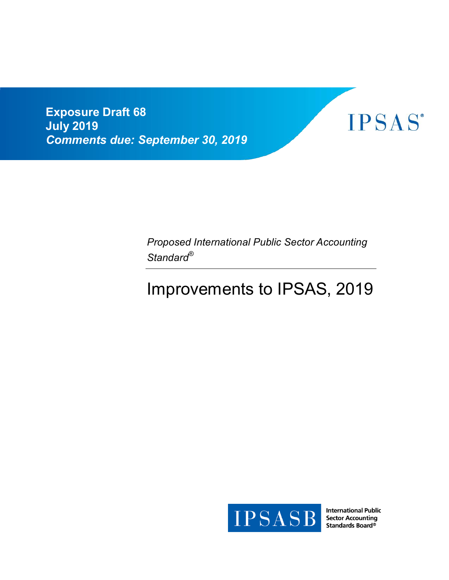**Exposure Draft 68 July 2019** *Comments due: September 30, 2019* 



*Proposed International Public Sector Accounting Standard®*

# Improvements to IPSAS, 2019



**International Public Sector Accounting** Standards Board®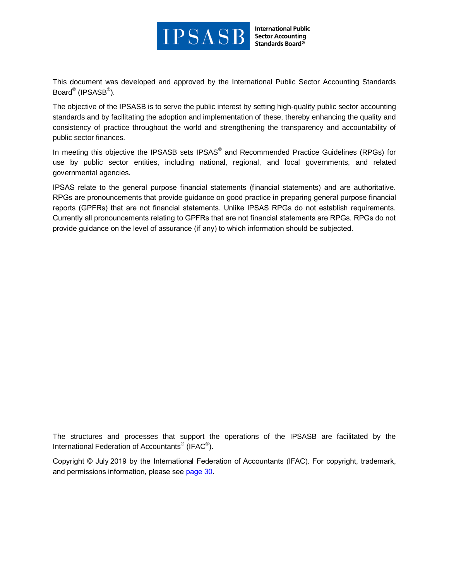

**International Public Sector Accounting Standards Board®** 

This document was developed and approved by the International Public Sector Accounting Standards Board® (IPSASB®).

The objective of the IPSASB is to serve the public interest by setting high-quality public sector accounting standards and by facilitating the adoption and implementation of these, thereby enhancing the quality and consistency of practice throughout the world and strengthening the transparency and accountability of public sector finances.

In meeting this objective the IPSASB sets IPSAS® and Recommended Practice Guidelines (RPGs) for use by public sector entities, including national, regional, and local governments, and related governmental agencies.

IPSAS relate to the general purpose financial statements (financial statements) and are authoritative. RPGs are pronouncements that provide guidance on good practice in preparing general purpose financial reports (GPFRs) that are not financial statements. Unlike IPSAS RPGs do not establish requirements. Currently all pronouncements relating to GPFRs that are not financial statements are RPGs. RPGs do not provide guidance on the level of assurance (if any) to which information should be subjected.

The structures and processes that support the operations of the IPSASB are facilitated by the International Federation of Accountants<sup>®</sup> (IFAC<sup>®</sup>).

Copyright © July 2019 by the International Federation of Accountants (IFAC). For copyright, trademark, and permissions information, please see [page](#page-29-0) 30.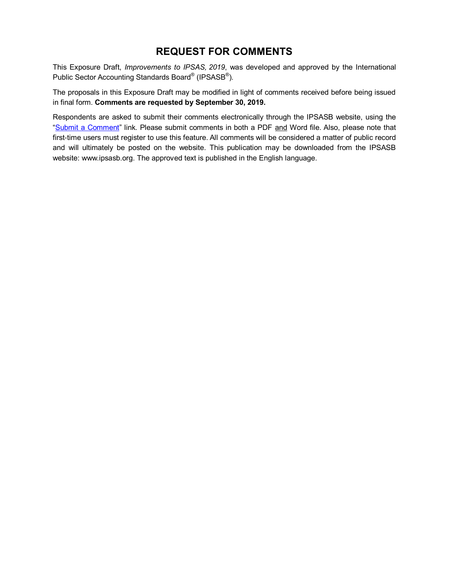## **REQUEST FOR COMMENTS**

This Exposure Draft, *Improvements to IPSAS, 2019*, was developed and approved by the International Public Sector Accounting Standards Board<sup>®</sup> (IPSASB<sup>®</sup>).

The proposals in this Exposure Draft may be modified in light of comments received before being issued in final form. **Comments are requested by September 30, 2019.**

Respondents are asked to submit their comments electronically through the IPSASB website, using the ["Submit a Comment"](https://www.ifac.org/publications-resources/exposure-draft-68-improvements-ipsas-2019) link. Please submit comments in both a PDF and Word file. Also, please note that first-time users must register to use this feature. All comments will be considered a matter of public record and will ultimately be posted on the website. This publication may be downloaded from the IPSASB website: www.ipsasb.org. The approved text is published in the English language.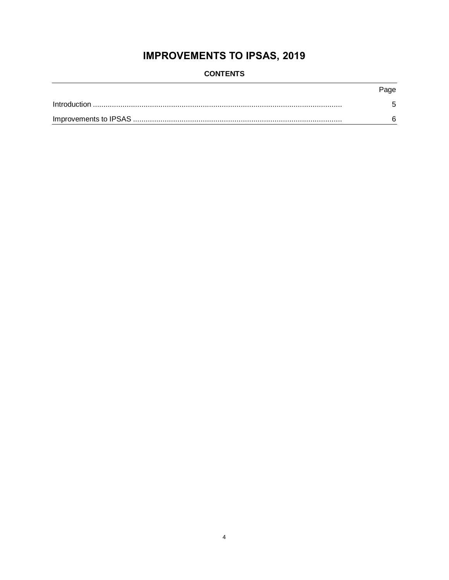# **IMPROVEMENTS TO IPSAS, 2019**

| <b>CONTENTS</b> |  |
|-----------------|--|
|-----------------|--|

| Page |
|------|
|      |
|      |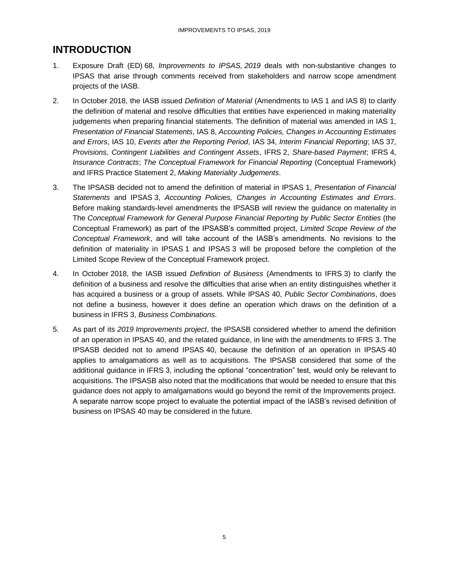## <span id="page-4-0"></span>**INTRODUCTION**

- 1. Exposure Draft (ED) 68, *Improvements to IPSAS, 2019* deals with non-substantive changes to IPSAS that arise through comments received from stakeholders and narrow scope amendment projects of the IASB.
- 2. In October 2018, the IASB issued *Definition of Material* (Amendments to IAS 1 and IAS 8) to clarify the definition of material and resolve difficulties that entities have experienced in making materiality judgements when preparing financial statements. The definition of material was amended in IAS 1, *Presentation of Financial Statements*, IAS 8, *Accounting Policies, Changes in Accounting Estimates and Errors*, IAS 10, *Events after the Reporting Period*, IAS 34, *Interim Financial Reporting*; IAS 37, *Provisions, Contingent Liabilities and Contingent Assets*, IFRS 2, *Share-based Payment*; IFRS 4, *Insurance Contracts*; *The Conceptual Framework for Financial Reporting* (Conceptual Framework) and IFRS Practice Statement 2, *Making Materiality Judgements*.
- 3. The IPSASB decided not to amend the definition of material in IPSAS 1, *Presentation of Financial Statements* and IPSAS 3, *Accounting Policies, Changes in Accounting Estimates and Errors*. Before making standards-level amendments the IPSASB will review the guidance on materiality in The *Conceptual Framework for General Purpose Financial Reporting by Public Sector Entities* (the Conceptual Framework) as part of the IPSASB's committed project, *Limited Scope Review of the Conceptual Framework*, and will take account of the IASB's amendments. No revisions to the definition of materiality in IPSAS 1 and IPSAS 3 will be proposed before the completion of the Limited Scope Review of the Conceptual Framework project.
- 4. In October 2018, the IASB issued *Definition of Business* (Amendments to IFRS 3) to clarify the definition of a business and resolve the difficulties that arise when an entity distinguishes whether it has acquired a business or a group of assets. While IPSAS 40, *Public Sector Combinations*, does not define a business, however it does define an operation which draws on the definition of a business in IFRS 3, *Business Combinations*.
- 5. As part of its *2019 Improvements project*, the IPSASB considered whether to amend the definition of an operation in IPSAS 40, and the related guidance, in line with the amendments to IFRS 3. The IPSASB decided not to amend IPSAS 40, because the definition of an operation in IPSAS 40 applies to amalgamations as well as to acquisitions. The IPSASB considered that some of the additional guidance in IFRS 3, including the optional "concentration" test, would only be relevant to acquisitions. The IPSASB also noted that the modifications that would be needed to ensure that this guidance does not apply to amalgamations would go beyond the remit of the Improvements project. A separate narrow scope project to evaluate the potential impact of the IASB's revised definition of business on IPSAS 40 may be considered in the future.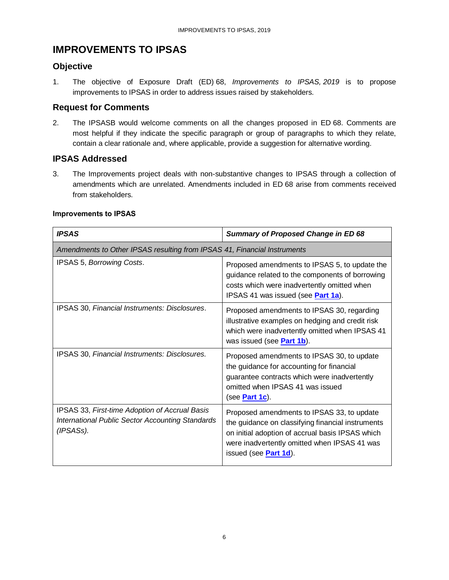## <span id="page-5-0"></span>**IMPROVEMENTS TO IPSAS**

#### **Objective**

1. The objective of Exposure Draft (ED) 68, *Improvements to IPSAS, 2019* is to propose improvements to IPSAS in order to address issues raised by stakeholders.

#### **Request for Comments**

2. The IPSASB would welcome comments on all the changes proposed in ED 68. Comments are most helpful if they indicate the specific paragraph or group of paragraphs to which they relate, contain a clear rationale and, where applicable, provide a suggestion for alternative wording.

## **IPSAS Addressed**

3. The Improvements project deals with non-substantive changes to IPSAS through a collection of amendments which are unrelated. Amendments included in ED 68 arise from comments received from stakeholders.

| <b>IPSAS</b>                                                                                                    | <b>Summary of Proposed Change in ED 68</b>                                                                                                                                                                                   |  |  |  |  |
|-----------------------------------------------------------------------------------------------------------------|------------------------------------------------------------------------------------------------------------------------------------------------------------------------------------------------------------------------------|--|--|--|--|
| Amendments to Other IPSAS resulting from IPSAS 41, Financial Instruments                                        |                                                                                                                                                                                                                              |  |  |  |  |
| IPSAS 5, Borrowing Costs.                                                                                       | Proposed amendments to IPSAS 5, to update the<br>guidance related to the components of borrowing<br>costs which were inadvertently omitted when<br>IPSAS 41 was issued (see <b>Part 1a</b> ).                                |  |  |  |  |
| IPSAS 30, Financial Instruments: Disclosures.                                                                   | Proposed amendments to IPSAS 30, regarding<br>illustrative examples on hedging and credit risk<br>which were inadvertently omitted when IPSAS 41<br>was issued (see <b>Part 1b</b> ).                                        |  |  |  |  |
| IPSAS 30, Financial Instruments: Disclosures.                                                                   | Proposed amendments to IPSAS 30, to update<br>the guidance for accounting for financial<br>guarantee contracts which were inadvertently<br>omitted when IPSAS 41 was issued<br>(see <i>Part 1c</i> ).                        |  |  |  |  |
| IPSAS 33, First-time Adoption of Accrual Basis<br>International Public Sector Accounting Standards<br>(IPSASs). | Proposed amendments to IPSAS 33, to update<br>the guidance on classifying financial instruments<br>on initial adoption of accrual basis IPSAS which<br>were inadvertently omitted when IPSAS 41 was<br>issued (see Part 1d). |  |  |  |  |

#### **Improvements to IPSAS**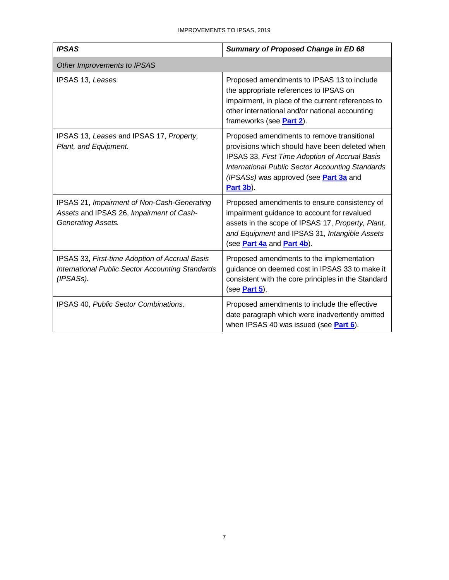| <b>IPSAS</b>                                                                                                           | <b>Summary of Proposed Change in ED 68</b>                                                                                                                                                                                                                |
|------------------------------------------------------------------------------------------------------------------------|-----------------------------------------------------------------------------------------------------------------------------------------------------------------------------------------------------------------------------------------------------------|
| Other Improvements to IPSAS                                                                                            |                                                                                                                                                                                                                                                           |
| IPSAS 13, Leases.                                                                                                      | Proposed amendments to IPSAS 13 to include<br>the appropriate references to IPSAS on<br>impairment, in place of the current references to<br>other international and/or national accounting<br>frameworks (see <b>Part 2</b> ).                           |
| IPSAS 13, Leases and IPSAS 17, Property,<br>Plant, and Equipment.                                                      | Proposed amendments to remove transitional<br>provisions which should have been deleted when<br>IPSAS 33, First Time Adoption of Accrual Basis<br>International Public Sector Accounting Standards<br>(IPSASs) was approved (see Part 3a and<br>Part 3b). |
| IPSAS 21, Impairment of Non-Cash-Generating<br>Assets and IPSAS 26, Impairment of Cash-<br>Generating Assets.          | Proposed amendments to ensure consistency of<br>impairment guidance to account for revalued<br>assets in the scope of IPSAS 17, Property, Plant,<br>and Equipment and IPSAS 31, Intangible Assets<br>(see <i>Part 4a</i> and <i>Part 4b</i> ).            |
| IPSAS 33, First-time Adoption of Accrual Basis<br><b>International Public Sector Accounting Standards</b><br>(IPSASs). | Proposed amendments to the implementation<br>guidance on deemed cost in IPSAS 33 to make it<br>consistent with the core principles in the Standard<br>(see <i>Part 5</i> ).                                                                               |
| IPSAS 40, Public Sector Combinations.                                                                                  | Proposed amendments to include the effective<br>date paragraph which were inadvertently omitted<br>when IPSAS 40 was issued (see Part 6).                                                                                                                 |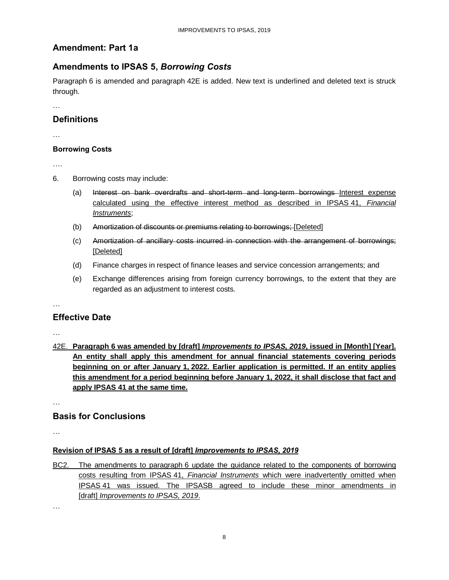#### <span id="page-7-0"></span>**Amendment: Part 1a**

#### **Amendments to IPSAS 5,** *Borrowing Costs*

Paragraph 6 is amended and paragraph 42E is added. New text is underlined and deleted text is struck through.

…

#### **Definitions**

…

#### **Borrowing Costs**

….

- 6. Borrowing costs may include:
	- (a) Interest on bank overdrafts and short-term and long-term borrowings Interest expense calculated using the effective interest method as described in IPSAS 41, *Financial Instruments*;
	- (b) Amortization of discounts or premiums relating to borrowings; [Deleted]
	- (c) Amortization of ancillary costs incurred in connection with the arrangement of borrowings; [Deleted]
	- (d) Finance charges in respect of finance leases and service concession arrangements; and
	- (e) Exchange differences arising from foreign currency borrowings, to the extent that they are regarded as an adjustment to interest costs.

…

#### **Effective Date**

…

42E. **Paragraph 6 was amended by [draft]** *Improvements to IPSAS, 2019***, issued in [Month] [Year]. An entity shall apply this amendment for annual financial statements covering periods beginning on or after January 1, 2022. Earlier application is permitted. If an entity applies this amendment for a period beginning before January 1, 2022, it shall disclose that fact and apply IPSAS 41 at the same time.**

…

#### **Basis for Conclusions**

…

#### **Revision of IPSAS 5 as a result of [draft]** *Improvements to IPSAS, 2019*

BC2. The amendments to paragraph 6 update the guidance related to the components of borrowing costs resulting from IPSAS 41, *Financial Instruments* which were inadvertently omitted when IPSAS 41 was issued. The IPSASB agreed to include these minor amendments in [draft] *Improvements to IPSAS, 2019*.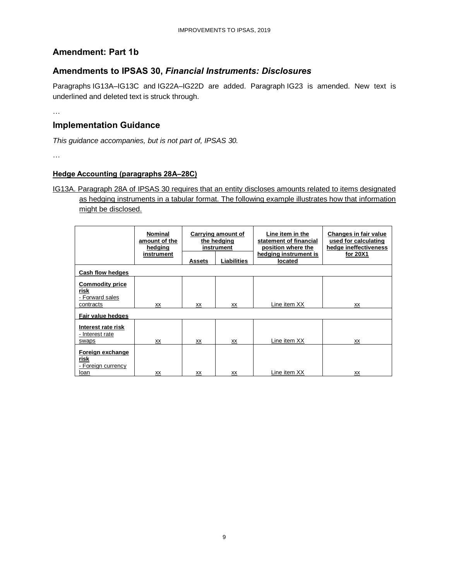## <span id="page-8-0"></span>**Amendment: Part 1b**

#### **Amendments to IPSAS 30,** *Financial Instruments: Disclosures*

Paragraphs IG13A–IG13C and IG22A–IG22D are added. Paragraph IG23 is amended. New text is underlined and deleted text is struck through.

…

#### **Implementation Guidance**

*This guidance accompanies, but is not part of, IPSAS 30.*

…

#### **Hedge Accounting (paragraphs 28A–28C)**

#### IG13A. Paragraph 28A of IPSAS 30 requires that an entity discloses amounts related to items designated as hedging instruments in a tabular format. The following example illustrates how that information might be disclosed.

|                                                                | <b>Nominal</b><br>amount of the<br>hedging | Carrying amount of<br>the hedging<br>instrument |                    | Line item in the<br>statement of financial<br>position where the | Changes in fair value<br>used for calculating<br>hedge ineffectiveness |  |
|----------------------------------------------------------------|--------------------------------------------|-------------------------------------------------|--------------------|------------------------------------------------------------------|------------------------------------------------------------------------|--|
|                                                                | instrument                                 | <b>Assets</b>                                   | <b>Liabilities</b> | hedging instrument is<br>located                                 | for 20X1                                                               |  |
| Cash flow hedges                                               |                                            |                                                 |                    |                                                                  |                                                                        |  |
| <b>Commodity price</b><br>risk<br>- Forward sales<br>contracts | xх                                         | <u>XX</u>                                       | XХ                 | Line item XX                                                     | <u>XX</u>                                                              |  |
| Fair value hedges                                              |                                            |                                                 |                    |                                                                  |                                                                        |  |
| Interest rate risk<br>- Interest rate<br>swaps                 | xх                                         | xх                                              | XX                 | Line item XX                                                     | XX                                                                     |  |
| <b>Foreign exchange</b><br>risk<br>- Foreign currency<br>loan  | <b>XX</b>                                  | XX                                              | XX                 | Line item XX                                                     | XX                                                                     |  |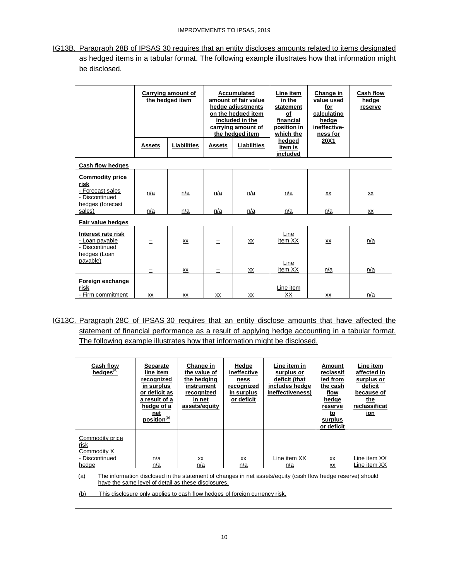IG13B. Paragraph 28B of IPSAS 30 requires that an entity discloses amounts related to items designated as hedged items in a tabular format. The following example illustrates how that information might be disclosed.

|                                                                        | Carrying amount of<br>the hedged item |             | Accumulated<br>amount of fair value<br>hedge adjustments<br>on the hedged item<br>included in the<br>carrying amount of<br>the hedged item |                    |                               |      | Line item<br>in the<br>statement<br>of<br>financial<br>position in<br>which the | Change in<br>value used<br>for<br>calculating<br>hedge<br>ineffective-<br>ness for | Cash flow<br>hedge<br>reserve |
|------------------------------------------------------------------------|---------------------------------------|-------------|--------------------------------------------------------------------------------------------------------------------------------------------|--------------------|-------------------------------|------|---------------------------------------------------------------------------------|------------------------------------------------------------------------------------|-------------------------------|
|                                                                        | <b>Assets</b>                         | Liabilities | <b>Assets</b>                                                                                                                              | <b>Liabilities</b> | hedged<br>item is<br>included | 20X1 |                                                                                 |                                                                                    |                               |
| Cash flow hedges                                                       |                                       |             |                                                                                                                                            |                    |                               |      |                                                                                 |                                                                                    |                               |
| <b>Commodity price</b><br>risk                                         |                                       |             |                                                                                                                                            |                    |                               |      |                                                                                 |                                                                                    |                               |
| - Forecast sales<br>- Discontinued<br>hedges (forecast                 | n/a                                   | n/a         | n/a                                                                                                                                        | n/a                | n/a                           | XX   | XX                                                                              |                                                                                    |                               |
| sales)                                                                 | n/a                                   | n/a         | n/a                                                                                                                                        | n/a                | n/a                           | n/a  | XX                                                                              |                                                                                    |                               |
| Fair value hedges                                                      |                                       |             |                                                                                                                                            |                    |                               |      |                                                                                 |                                                                                    |                               |
| Interest rate risk<br>- Loan payable<br>- Discontinued<br>hedges (Loan |                                       | XX          |                                                                                                                                            | XX                 | Line<br>item XX               | XX   | n/a                                                                             |                                                                                    |                               |
| payable)                                                               |                                       | XX          |                                                                                                                                            | XX                 | Line<br>item XX               | n/a  | n/a                                                                             |                                                                                    |                               |
| Foreign exchange<br>risk<br>- Firm commitment                          | XX                                    | XX          | XX                                                                                                                                         | ХX                 | Line item<br>XX               | XX   | n/a                                                                             |                                                                                    |                               |

IG13C. Paragraph 28C of IPSAS 30 requires that an entity disclose amounts that have affected the statement of financial performance as a result of applying hedge accounting in a tabular format. The following example illustrates how that information might be disclosed.

| <b>Cash flow</b><br>hedges <sup>(a)</sup>                                                                                                                                                                                                                                                                                                             | <b>Separate</b><br>line item<br>recognized<br>in surplus<br>or deficit as<br>a result of a<br>hedge of a<br>net<br>position <sup>(b)</sup> | Change in<br>the value of<br>the hedging<br>instrument<br>recognized<br>in net<br>assets/equity | Hedge<br>ineffective<br>ness<br>recognized<br>in surplus<br>or deficit | Line item in<br>surplus or<br>deficit (that<br>includes hedge<br>ineffectiveness) | Amount<br>reclassif<br>ied from<br>the cash<br>flow<br>hedge<br>reserve<br>to<br>surplus<br>or deficit | Line item<br>affected in<br>surplus or<br>deficit<br>because of<br>the<br>reclassificat<br>ion |
|-------------------------------------------------------------------------------------------------------------------------------------------------------------------------------------------------------------------------------------------------------------------------------------------------------------------------------------------------------|--------------------------------------------------------------------------------------------------------------------------------------------|-------------------------------------------------------------------------------------------------|------------------------------------------------------------------------|-----------------------------------------------------------------------------------|--------------------------------------------------------------------------------------------------------|------------------------------------------------------------------------------------------------|
| Commodity price<br>risk<br>Commodity X<br>- Discontinued<br>Line item XX<br><u>n/a</u><br>XX<br>$\frac{xx}{n/a}$<br>$\frac{XX}{n/a}$<br>n/a<br>hedge<br>n/a<br>ХX<br>The information disclosed in the statement of changes in net assets/equity (cash flow hedge reserve) should<br><u>(a)</u><br>have the same level of detail as these disclosures. |                                                                                                                                            |                                                                                                 |                                                                        |                                                                                   |                                                                                                        | Line item XX<br>Line item XX                                                                   |
| (b)                                                                                                                                                                                                                                                                                                                                                   |                                                                                                                                            | This disclosure only applies to cash flow hedges of foreign currency risk.                      |                                                                        |                                                                                   |                                                                                                        |                                                                                                |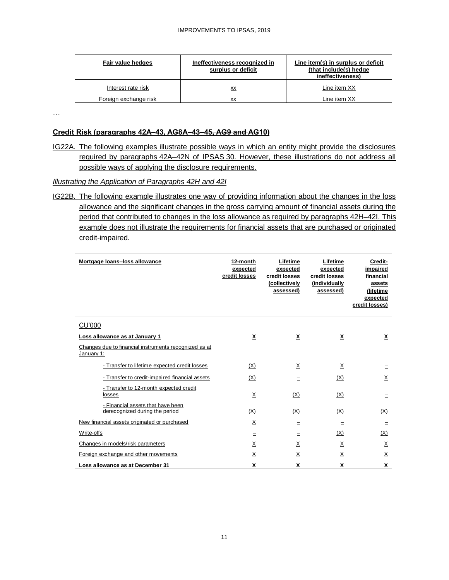| Fair value hedges     | Ineffectiveness recognized in<br>surplus or deficit | Line item(s) in surplus or deficit<br>(that include(s) hedge<br>ineffectiveness) |
|-----------------------|-----------------------------------------------------|----------------------------------------------------------------------------------|
| Interest rate risk    | XX                                                  | Line item XX                                                                     |
| Foreign exchange risk | xх                                                  | Line item XX                                                                     |

…

#### **Credit Risk (paragraphs 42A–43, AG8A–43–45, AG9 and AG10)**

IG22A. The following examples illustrate possible ways in which an entity might provide the disclosures required by paragraphs 42A–42N of IPSAS 30. However, these illustrations do not address all possible ways of applying the disclosure requirements.

#### *Illustrating the Application of Paragraphs 42H and 42I*

IG22B. The following example illustrates one way of providing information about the changes in the loss allowance and the significant changes in the gross carrying amount of financial assets during the period that contributed to changes in the loss allowance as required by paragraphs 42H–42I. This example does not illustrate the requirements for financial assets that are purchased or originated credit-impaired.

| Mortgage Ioans-loss allowance                                       | 12-month<br>expected<br>credit losses | Lifetime<br>expected<br>credit losses<br>(collectively<br>assessed) | Lifetime<br>expected<br>credit losses<br>(individually<br>assessed) | Credit-<br>impaired<br>financial<br>assets<br>(lifetime<br>expected<br>credit losses) |
|---------------------------------------------------------------------|---------------------------------------|---------------------------------------------------------------------|---------------------------------------------------------------------|---------------------------------------------------------------------------------------|
| CU'000                                                              |                                       |                                                                     |                                                                     |                                                                                       |
| Loss allowance as at January 1                                      | $\overline{\mathbf{x}}$               | $\underline{x}$                                                     | $\underline{x}$                                                     | $\underline{x}$                                                                       |
| Changes due to financial instruments recognized as at<br>January 1: |                                       |                                                                     |                                                                     |                                                                                       |
| - Transfer to lifetime expected credit losses                       | (X)                                   | $\times$                                                            | $\underline{x}$                                                     | Ξ                                                                                     |
| - Transfer to credit-impaired financial assets                      | (X)                                   |                                                                     | (X)                                                                 | X                                                                                     |
| - Transfer to 12-month expected credit<br>losses                    | $\times$                              | (X)                                                                 | (X)                                                                 | Ξ                                                                                     |
| - Financial assets that have been<br>derecognized during the period | (X)                                   | (X)                                                                 | (X)                                                                 | (X)                                                                                   |
| New financial assets originated or purchased                        | $\underline{X}$                       | Ξ                                                                   | Ξ                                                                   | Ξ                                                                                     |
| Write-offs                                                          | Ξ                                     | Ξ                                                                   | (X)                                                                 | (X)                                                                                   |
| Changes in models/risk parameters                                   | X                                     | $\underline{X}$                                                     | $\times$                                                            | $\underline{\mathsf{X}}$                                                              |
| Foreign exchange and other movements                                | Χ                                     | X                                                                   | X                                                                   | $\underline{X}$                                                                       |
| Loss allowance as at December 31                                    | X                                     | X                                                                   | x                                                                   | x                                                                                     |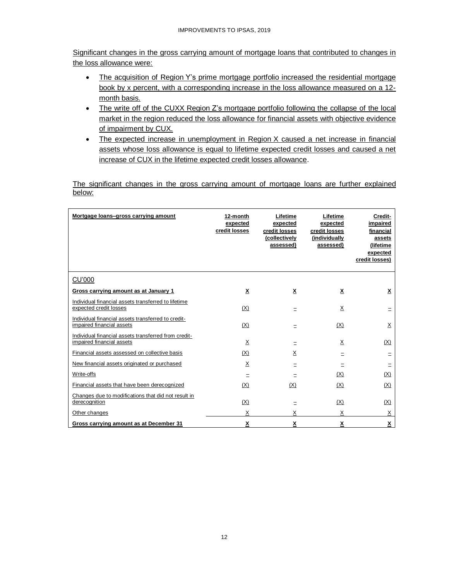Significant changes in the gross carrying amount of mortgage loans that contributed to changes in the loss allowance were:

- The acquisition of Region Y's prime mortgage portfolio increased the residential mortgage book by x percent, with a corresponding increase in the loss allowance measured on a 12month basis.
- The write off of the CUXX Region Z's mortgage portfolio following the collapse of the local market in the region reduced the loss allowance for financial assets with objective evidence of impairment by CUX.
- The expected increase in unemployment in Region X caused a net increase in financial assets whose loss allowance is equal to lifetime expected credit losses and caused a net increase of CUX in the lifetime expected credit losses allowance.

The significant changes in the gross carrying amount of mortgage loans are further explained below:

| Mortgage loans-gross carrying amount                                              | 12-month<br>expected<br>credit losses | Lifetime<br>expected<br>credit losses<br>(collectively<br>assessed) | Lifetime<br>expected<br>credit losses<br>(individually<br>assessed) | Credit-<br>impaired<br>financial<br>assets<br>(lifetime<br>expected<br>credit losses) |
|-----------------------------------------------------------------------------------|---------------------------------------|---------------------------------------------------------------------|---------------------------------------------------------------------|---------------------------------------------------------------------------------------|
| <b>CU'000</b>                                                                     |                                       |                                                                     |                                                                     |                                                                                       |
| Gross carrying amount as at January 1                                             | X                                     | X                                                                   | $\underline{x}$                                                     | X                                                                                     |
| Individual financial assets transferred to lifetime<br>expected credit losses     | (X)                                   | Ξ                                                                   | $\underline{\mathsf{X}}$                                            |                                                                                       |
| Individual financial assets transferred to credit-<br>impaired financial assets   | (X)                                   | Ξ                                                                   | (X)                                                                 | $\underline{X}$                                                                       |
| Individual financial assets transferred from credit-<br>impaired financial assets | Х                                     | Ξ                                                                   | X                                                                   | (X)                                                                                   |
| Financial assets assessed on collective basis                                     | (X)                                   | X                                                                   | Ξ                                                                   |                                                                                       |
| New financial assets originated or purchased                                      | X                                     | $=$                                                                 | $=$                                                                 |                                                                                       |
| Write-offs                                                                        |                                       |                                                                     | (X)                                                                 | (X)                                                                                   |
| Financial assets that have been derecognized                                      | (X)                                   | (X)                                                                 | (X)                                                                 | (X)                                                                                   |
| Changes due to modifications that did not result in<br>derecognition              | (X)                                   | Ξ                                                                   | (X)                                                                 | (X)                                                                                   |
| Other changes                                                                     | X                                     | Χ                                                                   | Χ                                                                   | X                                                                                     |
| Gross carrying amount as at December 31                                           | <u>x</u>                              | χ                                                                   | $\overline{\mathbf{X}}$                                             | $\underline{x}$                                                                       |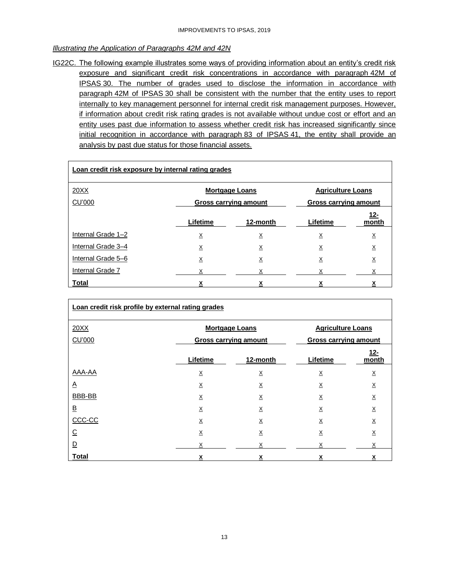#### *Illustrating the Application of Paragraphs 42M and 42N*

IG22C. The following example illustrates some ways of providing information about an entity's credit risk exposure and significant credit risk concentrations in accordance with paragraph 42M of IPSAS 30. The number of grades used to disclose the information in accordance with paragraph 42M of IPSAS 30 shall be consistent with the number that the entity uses to report internally to key management personnel for internal credit risk management purposes. However, if information about credit risk rating grades is not available without undue cost or effort and an entity uses past due information to assess whether credit risk has increased significantly since initial recognition in accordance with paragraph 83 of IPSAS 41, the entity shall provide an analysis by past due status for those financial assets.

| Loan credit risk exposure by internal rating grades       |                                                              |          |          |                 |  |  |  |  |
|-----------------------------------------------------------|--------------------------------------------------------------|----------|----------|-----------------|--|--|--|--|
| 20XX<br><b>Mortgage Loans</b><br><b>Agriculture Loans</b> |                                                              |          |          |                 |  |  |  |  |
| <b>CU'000</b>                                             | <b>Gross carrying amount</b><br><b>Gross carrying amount</b> |          |          |                 |  |  |  |  |
|                                                           | Lifetime                                                     | 12-month | Lifetime | 12-<br>month    |  |  |  |  |
| Internal Grade 1-2                                        | $\times$                                                     | $\times$ | X        | $\underline{X}$ |  |  |  |  |
| Internal Grade 3-4                                        | Х                                                            | X        | Х        | <u>x</u>        |  |  |  |  |
| Internal Grade 5-6                                        | $\underline{X}$                                              | <u>х</u> | <u>x</u> | <u>х</u>        |  |  |  |  |
| Internal Grade 7                                          | $\underline{x}$                                              | х        | Х        | х               |  |  |  |  |
| <b>Total</b>                                              | χ                                                            | х        | х        |                 |  |  |  |  |

| Loan credit risk profile by external rating grades |                                                   |                              |                              |                 |  |  |
|----------------------------------------------------|---------------------------------------------------|------------------------------|------------------------------|-----------------|--|--|
| 20XX                                               | <b>Mortgage Loans</b><br><b>Agriculture Loans</b> |                              |                              |                 |  |  |
| <b>CU'000</b>                                      |                                                   | <b>Gross carrying amount</b> | <b>Gross carrying amount</b> |                 |  |  |
|                                                    | Lifetime                                          | 12-month                     | Lifetime                     | 12-<br>month    |  |  |
| AAA-AA                                             | $\times$                                          | X                            | X                            | X               |  |  |
| $\Delta$                                           | $\underline{X}$                                   | $\underline{X}$              | $\underline{X}$              | $\times$        |  |  |
| BBB-BB                                             | X                                                 | $\underline{X}$              | $\underline{X}$              | $\times$        |  |  |
| <u>B</u>                                           | X                                                 | Χ                            | Χ                            | Χ               |  |  |
| CCC-CC                                             | $\times$                                          | X                            | $\times$                     | $\underline{X}$ |  |  |
| <u>C</u>                                           | $\underline{\mathsf{X}}$                          | $\underline{\mathsf{X}}$     | $\underline{X}$              | Χ               |  |  |
| <u>D</u>                                           |                                                   | X                            |                              |                 |  |  |
| <b>Total</b>                                       | x                                                 | X                            | χ                            | χ               |  |  |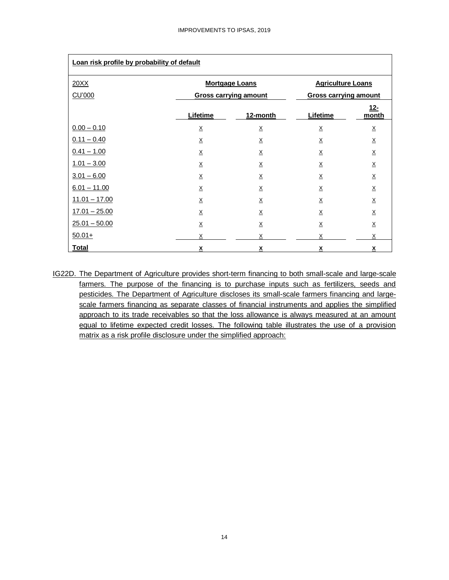| Loan risk profile by probability of default |                              |                          |                              |                          |  |  |  |
|---------------------------------------------|------------------------------|--------------------------|------------------------------|--------------------------|--|--|--|
| 20XX                                        |                              | <b>Mortgage Loans</b>    | <b>Agriculture Loans</b>     |                          |  |  |  |
| <b>CU'000</b>                               | <b>Gross carrying amount</b> |                          | <b>Gross carrying amount</b> |                          |  |  |  |
|                                             | Lifetime                     | 12-month                 | Lifetime                     | $12 -$<br>month          |  |  |  |
| $0.00 - 0.10$                               | $\underline{X}$              | $\underline{\mathsf{X}}$ | X                            | $\underline{\mathsf{X}}$ |  |  |  |
| $0.11 - 0.40$                               | X                            | $\underline{\mathsf{X}}$ | $\underline{\mathsf{X}}$     | $\underline{X}$          |  |  |  |
| $0.41 - 1.00$                               | $\underline{\mathsf{X}}$     | $\underline{\mathsf{X}}$ | $\underline{\mathsf{X}}$     | $\underline{X}$          |  |  |  |
| $1.01 - 3.00$                               | $\underline{X}$              | $\times$                 | $\underline{\mathsf{X}}$     | $\underline{X}$          |  |  |  |
| $3.01 - 6.00$                               | $\underline{X}$              | $\underline{X}$          | $\times$                     | $\underline{X}$          |  |  |  |
| $6.01 - 11.00$                              | X                            | $\underline{X}$          | $\underline{X}$              | $\underline{X}$          |  |  |  |
| $11.01 - 17.00$                             | $\underline{X}$              | $\underline{X}$          | $\underline{\mathsf{X}}$     | $\underline{X}$          |  |  |  |
| $17.01 - 25.00$                             | $\underline{X}$              | $\underline{\mathsf{X}}$ | X                            | $\underline{\mathsf{X}}$ |  |  |  |
| $25.01 - 50.00$                             | $\underline{X}$              | $\underline{X}$          | X                            | $\underline{X}$          |  |  |  |
| $50.01+$                                    | X                            | X                        | X                            | X                        |  |  |  |
| <b>Total</b>                                | X                            | X                        | X                            | X                        |  |  |  |

IG22D. The Department of Agriculture provides short-term financing to both small-scale and large-scale farmers. The purpose of the financing is to purchase inputs such as fertilizers, seeds and pesticides. The Department of Agriculture discloses its small-scale farmers financing and largescale farmers financing as separate classes of financial instruments and applies the simplified approach to its trade receivables so that the loss allowance is always measured at an amount equal to lifetime expected credit losses. The following table illustrates the use of a provision matrix as a risk profile disclosure under the simplified approach: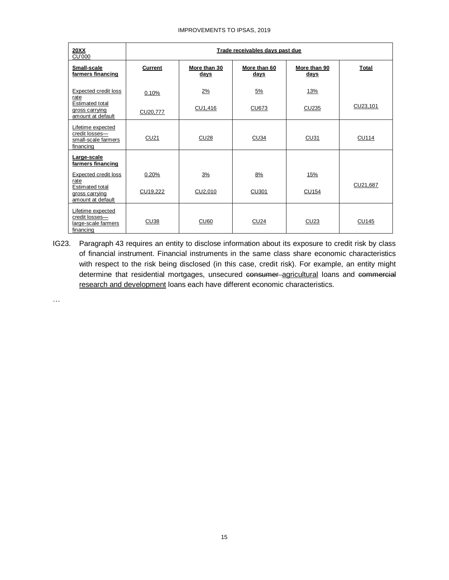#### IMPROVEMENTS TO IPSAS, 2019

| <b>20XX</b><br><b>CU'000</b>                                            | Trade receivables days past due |                      |                      |                      |              |  |  |
|-------------------------------------------------------------------------|---------------------------------|----------------------|----------------------|----------------------|--------------|--|--|
| Small-scale<br>farmers financing                                        | <b>Current</b>                  | More than 30<br>days | More than 60<br>days | More than 90<br>days | Total        |  |  |
| <b>Expected credit loss</b><br>rate                                     | 0.10%                           | 2%                   | 5%                   | 13%                  |              |  |  |
| <b>Estimated total</b><br>gross carrying<br>amount at default           | CU20,777                        | CU1,416              | CU673                | CU235                | CU23,101     |  |  |
| Lifetime expected<br>credit losses-<br>small-scale farmers<br>financing | <b>CU21</b>                     | <b>CU28</b>          | <b>CU34</b>          | <b>CU31</b>          | <b>CU114</b> |  |  |
| Large-scale<br>farmers financing                                        |                                 |                      |                      |                      |              |  |  |
| Expected credit loss<br>rate                                            | 0.20%                           | 3%                   | 8%                   | 15%                  |              |  |  |
| <b>Estimated total</b><br>gross carrying<br>amount at default           | CU19,222                        | CU2,010              | <b>CU301</b>         | <b>CU154</b>         | CU21,687     |  |  |
| Lifetime expected<br>credit losses-<br>large-scale farmers<br>financing | CU <sub>38</sub>                | <b>CU60</b>          | <b>CU24</b>          | CU23                 | <b>CU145</b> |  |  |

IG23. Paragraph 43 requires an entity to disclose information about its exposure to credit risk by class of financial instrument. Financial instruments in the same class share economic characteristics with respect to the risk being disclosed (in this case, credit risk). For example, an entity might determine that residential mortgages, unsecured consumer agricultural loans and commercial research and development loans each have different economic characteristics.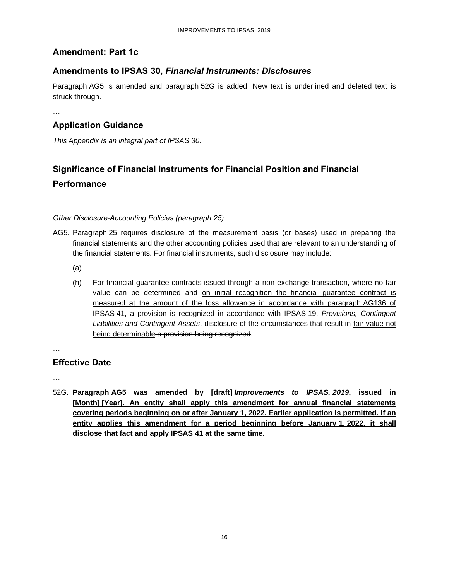## <span id="page-15-0"></span>**Amendment: Part 1c**

## **Amendments to IPSAS 30,** *Financial Instruments: Disclosures*

Paragraph AG5 is amended and paragraph 52G is added. New text is underlined and deleted text is struck through.

…

## **Application Guidance**

*This Appendix is an integral part of IPSAS 30.*

…

## **Significance of Financial Instruments for Financial Position and Financial Performance**

…

#### *Other Disclosure-Accounting Policies (paragraph 25)*

- AG5. Paragraph 25 requires disclosure of the measurement basis (or bases) used in preparing the financial statements and the other accounting policies used that are relevant to an understanding of the financial statements. For financial instruments, such disclosure may include:
	- (a) …
	- (h) For financial guarantee contracts issued through a non-exchange transaction, where no fair value can be determined and on initial recognition the financial guarantee contract is measured at the amount of the loss allowance in accordance with paragraph AG136 of IPSAS 41, a provision is recognized in accordance with IPSAS 19, *Provisions, Contingent Liabilities and Contingent Assets*, disclosure of the circumstances that result in fair value not being determinable a provision being recognized.

## **Effective Date**

…

…

52G. **Paragraph AG5 was amended by [draft]** *Improvements to IPSAS, 2019***, issued in [Month] [Year]. An entity shall apply this amendment for annual financial statements covering periods beginning on or after January 1, 2022. Earlier application is permitted. If an entity applies this amendment for a period beginning before January 1, 2022, it shall disclose that fact and apply IPSAS 41 at the same time.**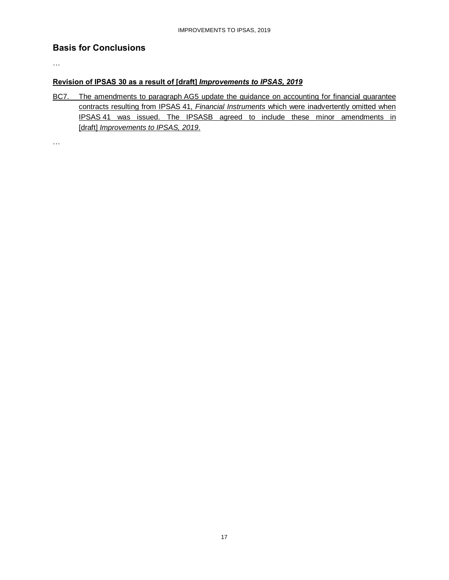#### **Basis for Conclusions**

…

#### **Revision of IPSAS 30 as a result of [draft]** *Improvements to IPSAS, 2019*

BC7. The amendments to paragraph AG5 update the guidance on accounting for financial guarantee contracts resulting from IPSAS 41, *Financial Instruments* which were inadvertently omitted when IPSAS 41 was issued. The IPSASB agreed to include these minor amendments in [draft] *Improvements to IPSAS, 2019*.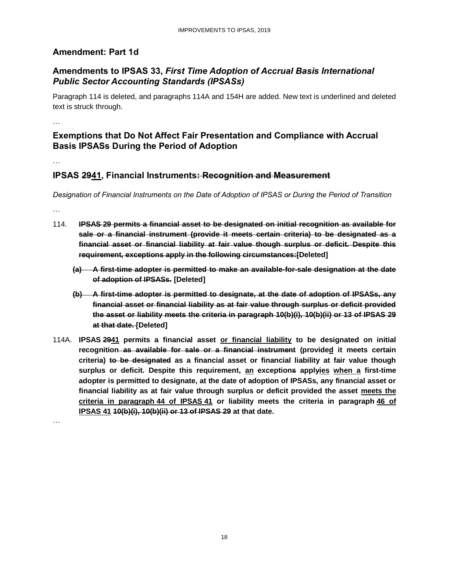#### <span id="page-17-0"></span>**Amendment: Part 1d**

## **Amendments to IPSAS 33,** *First Time Adoption of Accrual Basis International Public Sector Accounting Standards (IPSASs)*

Paragraph 114 is deleted, and paragraphs 114A and 154H are added. New text is underlined and deleted text is struck through.

…

#### **Exemptions that Do Not Affect Fair Presentation and Compliance with Accrual Basis IPSASs During the Period of Adoption**

…

#### **IPSAS 2941, Financial Instruments: Recognition and Measurement**

*Designation of Financial Instruments on the Date of Adoption of IPSAS or During the Period of Transition*

…

- 114. **IPSAS 29 permits a financial asset to be designated on initial recognition as available for sale or a financial instrument (provide it meets certain criteria) to be designated as a financial asset or financial liability at fair value though surplus or deficit. Despite this requirement, exceptions apply in the following circumstances:[Deleted]**
	- **(a) A first-time adopter is permitted to make an available-for-sale designation at the date of adoption of IPSASs. [Deleted]**
	- **(b) A first-time adopter is permitted to designate, at the date of adoption of IPSASs, any financial asset or financial liability as at fair value through surplus or deficit provided the asset or liability meets the criteria in paragraph 10(b)(i), 10(b)(ii) or 13 of IPSAS 29 at that date. [Deleted]**
- 114A. **IPSAS 2941 permits a financial asset or financial liability to be designated on initial recognition as available for sale or a financial instrument (provided it meets certain criteria) to be designated as a financial asset or financial liability at fair value though surplus or deficit. Despite this requirement, an exceptions applyies when a first-time adopter is permitted to designate, at the date of adoption of IPSASs, any financial asset or financial liability as at fair value through surplus or deficit provided the asset meets the criteria in paragraph 44 of IPSAS 41 or liability meets the criteria in paragraph 46 of IPSAS 41 10(b)(i), 10(b)(ii) or 13 of IPSAS 29 at that date.**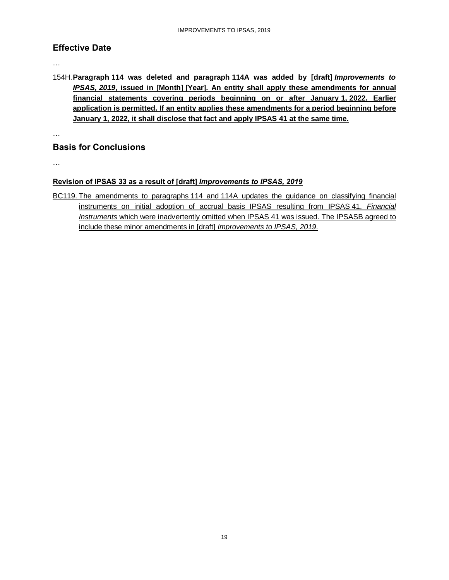#### **Effective Date**

…

154H.**Paragraph 114 was deleted and paragraph 114A was added by [draft]** *Improvements to IPSAS, 2019***, issued in [Month] [Year]. An entity shall apply these amendments for annual financial statements covering periods beginning on or after January 1, 2022. Earlier application is permitted. If an entity applies these amendments for a period beginning before January 1, 2022, it shall disclose that fact and apply IPSAS 41 at the same time.**

…

#### **Basis for Conclusions**

…

#### **Revision of IPSAS 33 as a result of [draft]** *Improvements to IPSAS, 2019*

BC119. The amendments to paragraphs 114 and 114A updates the guidance on classifying financial instruments on initial adoption of accrual basis IPSAS resulting from IPSAS 41, *Financial Instruments* which were inadvertently omitted when IPSAS 41 was issued. The IPSASB agreed to include these minor amendments in [draft] *Improvements to IPSAS, 2019*.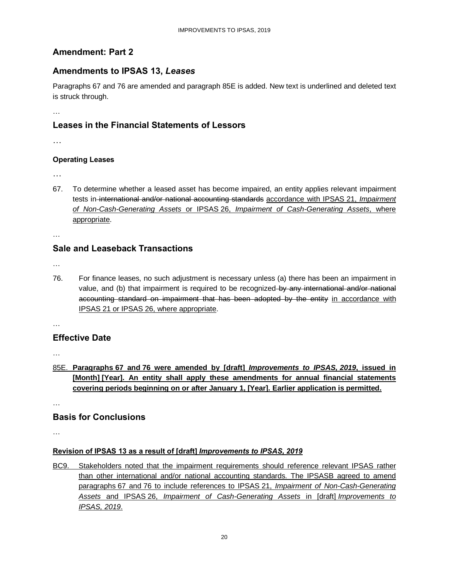## <span id="page-19-0"></span>**Amendment: Part 2**

#### **Amendments to IPSAS 13,** *Leases*

Paragraphs 67 and 76 are amended and paragraph 85E is added. New text is underlined and deleted text is struck through.

…

## **Leases in the Financial Statements of Lessors**

…

#### **Operating Leases**

…

67. To determine whether a leased asset has become impaired, an entity applies relevant impairment tests in international and/or national accounting standards accordance with IPSAS 21, *Impairment of Non-Cash-Generating Assets* or IPSAS 26, *Impairment of Cash-Generating Assets*, where appropriate.

…

#### **Sale and Leaseback Transactions**

…

76. For finance leases, no such adjustment is necessary unless (a) there has been an impairment in value, and (b) that impairment is required to be recognized-by any international and/or national accounting standard on impairment that has been adopted by the entity in accordance with IPSAS 21 or IPSAS 26, where appropriate.

…

#### **Effective Date**

…

85E. **Paragraphs 67 and 76 were amended by [draft]** *Improvements to IPSAS, 2019***, issued in [Month] [Year]. An entity shall apply these amendments for annual financial statements covering periods beginning on or after January 1, [Year]. Earlier application is permitted.**

…

#### **Basis for Conclusions**

…

#### **Revision of IPSAS 13 as a result of [draft]** *Improvements to IPSAS, 2019*

BC9. Stakeholders noted that the impairment requirements should reference relevant IPSAS rather than other international and/or national accounting standards. The IPSASB agreed to amend paragraphs 67 and 76 to include references to IPSAS 21, *Impairment of Non-Cash-Generating Assets* and IPSAS 26, *Impairment of Cash-Generating Assets* in [draft] *Improvements to IPSAS, 2019*.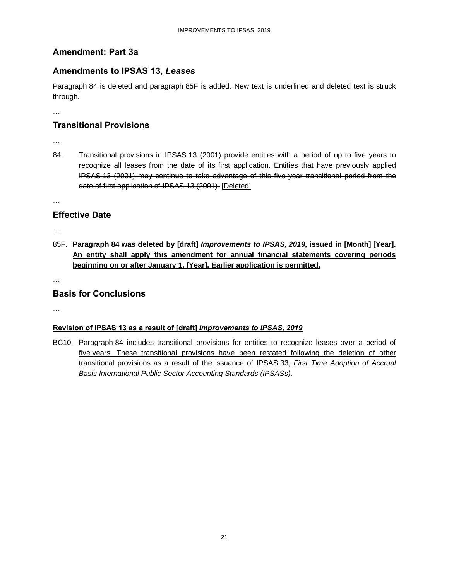## <span id="page-20-0"></span>**Amendment: Part 3a**

#### **Amendments to IPSAS 13,** *Leases*

Paragraph 84 is deleted and paragraph 85F is added. New text is underlined and deleted text is struck through.

…

## **Transitional Provisions**

- …
- 84. Transitional provisions in IPSAS 13 (2001) provide entities with a period of up to five years to recognize all leases from the date of its first application. Entities that have previously applied IPSAS 13 (2001) may continue to take advantage of this five-year transitional period from the date of first application of IPSAS 13 (2001). [Deleted]

…

## **Effective Date**

…

85F. **Paragraph 84 was deleted by [draft]** *Improvements to IPSAS, 2019***, issued in [Month] [Year]. An entity shall apply this amendment for annual financial statements covering periods beginning on or after January 1, [Year]. Earlier application is permitted.**

…

## **Basis for Conclusions**

…

#### **Revision of IPSAS 13 as a result of [draft]** *Improvements to IPSAS, 2019*

BC10. Paragraph 84 includes transitional provisions for entities to recognize leases over a period of five years. These transitional provisions have been restated following the deletion of other transitional provisions as a result of the issuance of IPSAS 33, *First Time Adoption of Accrual Basis International Public Sector Accounting Standards (IPSASs)*.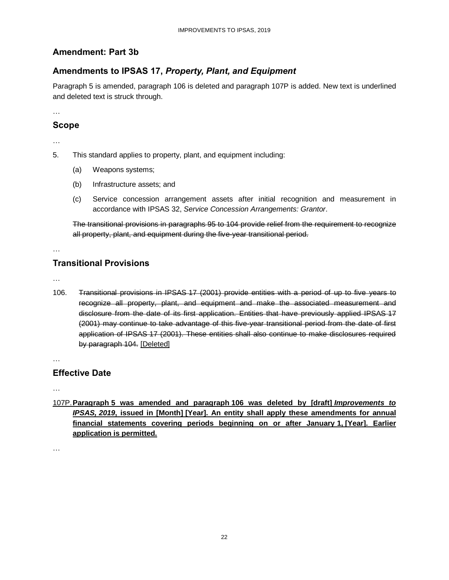## <span id="page-21-0"></span>**Amendment: Part 3b**

## **Amendments to IPSAS 17,** *Property, Plant, and Equipment*

Paragraph 5 is amended, paragraph 106 is deleted and paragraph 107P is added. New text is underlined and deleted text is struck through.

…

#### **Scope**

…

- 5. This standard applies to property, plant, and equipment including:
	- (a) Weapons systems;
	- (b) Infrastructure assets; and
	- (c) Service concession arrangement assets after initial recognition and measurement in accordance with IPSAS 32, *Service Concession Arrangements: Grantor*.

The transitional provisions in paragraphs 95 to 104 provide relief from the requirement to recognize all property, plant, and equipment during the five-year transitional period.

…

## **Transitional Provisions**

…

106. Transitional provisions in IPSAS 17 (2001) provide entities with a period of up to five years to recognize all property, plant, and equipment and make the associated measurement and disclosure from the date of its first application. Entities that have previously applied IPSAS 17 (2001) may continue to take advantage of this five-year transitional period from the date of first application of IPSAS 17 (2001). These entities shall also continue to make disclosures required by paragraph 104. [Deleted]

…

## **Effective Date**

…

107P.**Paragraph 5 was amended and paragraph 106 was deleted by [draft]** *Improvements to IPSAS, 2019***, issued in [Month] [Year]. An entity shall apply these amendments for annual financial statements covering periods beginning on or after January 1, [Year]. Earlier application is permitted.**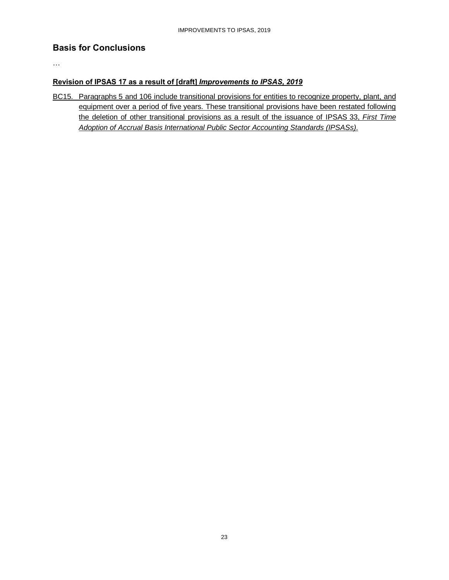#### **Basis for Conclusions**

…

#### **Revision of IPSAS 17 as a result of [draft]** *Improvements to IPSAS, 2019*

BC15. Paragraphs 5 and 106 include transitional provisions for entities to recognize property, plant, and equipment over a period of five years. These transitional provisions have been restated following the deletion of other transitional provisions as a result of the issuance of IPSAS 33, *First Time Adoption of Accrual Basis International Public Sector Accounting Standards (IPSASs)*.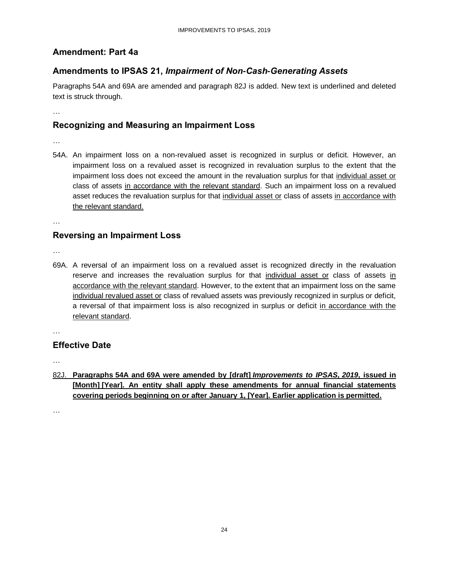#### <span id="page-23-0"></span>**Amendment: Part 4a**

## **Amendments to IPSAS 21,** *Impairment of Non-Cash-Generating Assets*

Paragraphs 54A and 69A are amended and paragraph 82J is added. New text is underlined and deleted text is struck through.

…

#### **Recognizing and Measuring an Impairment Loss**

- …
- 54A. An impairment loss on a non-revalued asset is recognized in surplus or deficit. However, an impairment loss on a revalued asset is recognized in revaluation surplus to the extent that the impairment loss does not exceed the amount in the revaluation surplus for that individual asset or class of assets in accordance with the relevant standard. Such an impairment loss on a revalued asset reduces the revaluation surplus for that individual asset or class of assets in accordance with the relevant standard.

…

## **Reversing an Impairment Loss**

…

69A. A reversal of an impairment loss on a revalued asset is recognized directly in the revaluation reserve and increases the revaluation surplus for that individual asset or class of assets in accordance with the relevant standard. However, to the extent that an impairment loss on the same individual revalued asset or class of revalued assets was previously recognized in surplus or deficit, a reversal of that impairment loss is also recognized in surplus or deficit in accordance with the relevant standard.

…

#### **Effective Date**

…

82J. **Paragraphs 54A and 69A were amended by [draft]** *Improvements to IPSAS, 2019***, issued in [Month] [Year]. An entity shall apply these amendments for annual financial statements covering periods beginning on or after January 1, [Year]. Earlier application is permitted.**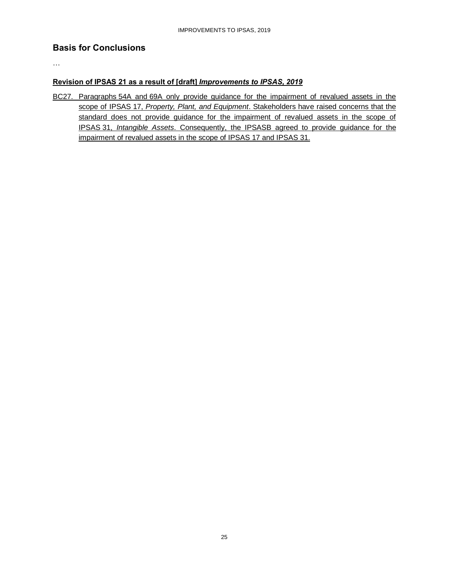#### **Basis for Conclusions**

…

#### **Revision of IPSAS 21 as a result of [draft]** *Improvements to IPSAS, 2019*

BC27. Paragraphs 54A and 69A only provide guidance for the impairment of revalued assets in the scope of IPSAS 17, *Property, Plant, and Equipment*. Stakeholders have raised concerns that the standard does not provide guidance for the impairment of revalued assets in the scope of IPSAS 31, *Intangible Assets*. Consequently, the IPSASB agreed to provide guidance for the impairment of revalued assets in the scope of IPSAS 17 and IPSAS 31.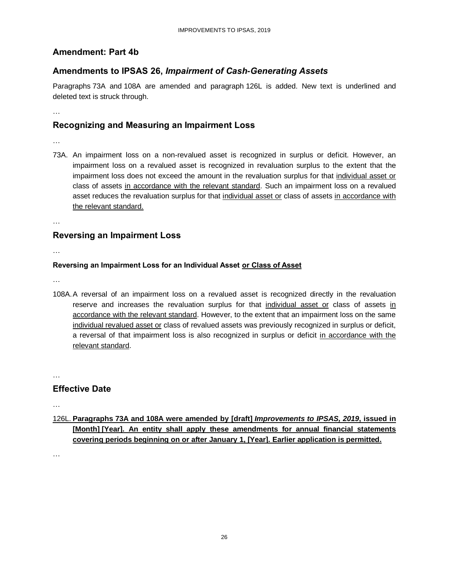#### <span id="page-25-0"></span>**Amendment: Part 4b**

#### **Amendments to IPSAS 26,** *Impairment of Cash-Generating Assets*

Paragraphs 73A and 108A are amended and paragraph 126L is added. New text is underlined and deleted text is struck through.

…

#### **Recognizing and Measuring an Impairment Loss**

- …
- 73A. An impairment loss on a non-revalued asset is recognized in surplus or deficit. However, an impairment loss on a revalued asset is recognized in revaluation surplus to the extent that the impairment loss does not exceed the amount in the revaluation surplus for that individual asset or class of assets in accordance with the relevant standard. Such an impairment loss on a revalued asset reduces the revaluation surplus for that individual asset or class of assets in accordance with the relevant standard.

…

## **Reversing an Impairment Loss**

…

#### **Reversing an Impairment Loss for an Individual Asset or Class of Asset**

…

108A.A reversal of an impairment loss on a revalued asset is recognized directly in the revaluation reserve and increases the revaluation surplus for that individual asset or class of assets in accordance with the relevant standard. However, to the extent that an impairment loss on the same individual revalued asset or class of revalued assets was previously recognized in surplus or deficit, a reversal of that impairment loss is also recognized in surplus or deficit in accordance with the relevant standard.

…

#### **Effective Date**

…

126L. **Paragraphs 73A and 108A were amended by [draft]** *Improvements to IPSAS, 2019***, issued in [Month] [Year]. An entity shall apply these amendments for annual financial statements covering periods beginning on or after January 1, [Year]. Earlier application is permitted.**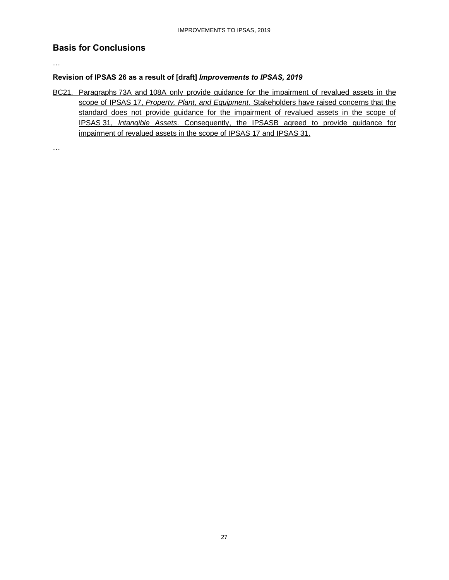#### **Basis for Conclusions**

…

…

#### **Revision of IPSAS 26 as a result of [draft]** *Improvements to IPSAS, 2019*

BC21. Paragraphs 73A and 108A only provide guidance for the impairment of revalued assets in the scope of IPSAS 17, *Property, Plant, and Equipment*. Stakeholders have raised concerns that the standard does not provide guidance for the impairment of revalued assets in the scope of IPSAS 31, *Intangible Assets*. Consequently, the IPSASB agreed to provide guidance for impairment of revalued assets in the scope of IPSAS 17 and IPSAS 31.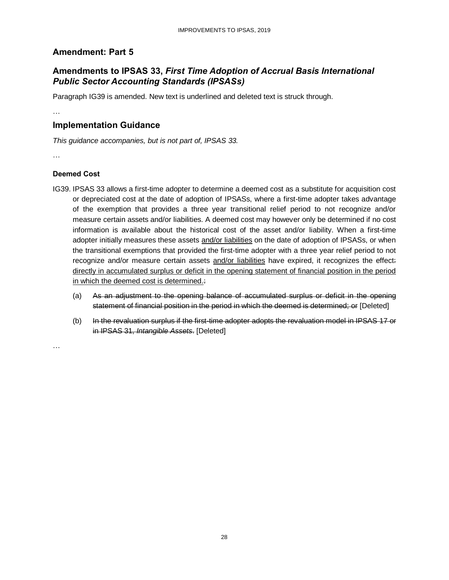## <span id="page-27-0"></span>**Amendment: Part 5**

## **Amendments to IPSAS 33,** *First Time Adoption of Accrual Basis International Public Sector Accounting Standards (IPSASs)*

Paragraph IG39 is amended. New text is underlined and deleted text is struck through.

…

## **Implementation Guidance**

*This guidance accompanies, but is not part of, IPSAS 33.*

…

#### **Deemed Cost**

- IG39. IPSAS 33 allows a first-time adopter to determine a deemed cost as a substitute for acquisition cost or depreciated cost at the date of adoption of IPSASs, where a first-time adopter takes advantage of the exemption that provides a three year transitional relief period to not recognize and/or measure certain assets and/or liabilities. A deemed cost may however only be determined if no cost information is available about the historical cost of the asset and/or liability. When a first-time adopter initially measures these assets and/or liabilities on the date of adoption of IPSASs, or when the transitional exemptions that provided the first-time adopter with a three year relief period to not recognize and/or measure certain assets and/or liabilities have expired, it recognizes the effect: directly in accumulated surplus or deficit in the opening statement of financial position in the period in which the deemed cost is determined.:
	- (a) As an adjustment to the opening balance of accumulated surplus or deficit in the opening statement of financial position in the period in which the deemed is determined; or [Deleted]
	- (b) In the revaluation surplus if the first-time adopter adopts the revaluation model in IPSAS 17 or in IPSAS 31, *Intangible Assets*. [Deleted]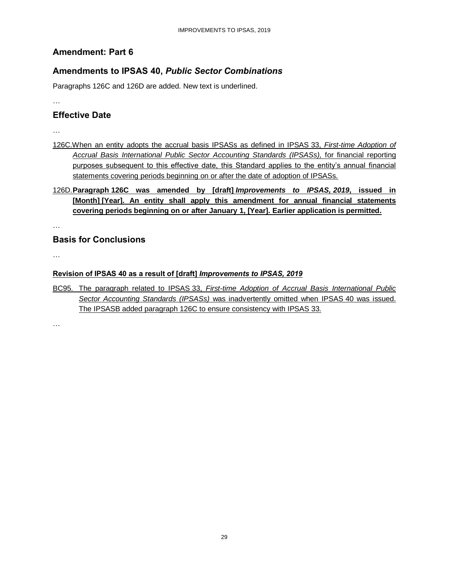## <span id="page-28-0"></span>**Amendment: Part 6**

## **Amendments to IPSAS 40,** *Public Sector Combinations*

Paragraphs 126C and 126D are added. New text is underlined.

…

#### **Effective Date**

- …
- 126C.When an entity adopts the accrual basis IPSASs as defined in IPSAS 33, *First-time Adoption of Accrual Basis International Public Sector Accounting Standards (IPSASs),* for financial reporting purposes subsequent to this effective date, this Standard applies to the entity's annual financial statements covering periods beginning on or after the date of adoption of IPSASs.
- 126D.**Paragraph 126C was amended by [draft]** *Improvements to IPSAS, 2019***, issued in [Month] [Year]. An entity shall apply this amendment for annual financial statements covering periods beginning on or after January 1, [Year]. Earlier application is permitted.**

…

## **Basis for Conclusions**

…

#### **Revision of IPSAS 40 as a result of [draft]** *Improvements to IPSAS, 2019*

BC95. The paragraph related to IPSAS 33, *First-time Adoption of Accrual Basis International Public Sector Accounting Standards (IPSASs)* was inadvertently omitted when IPSAS 40 was issued. The IPSASB added paragraph 126C to ensure consistency with IPSAS 33.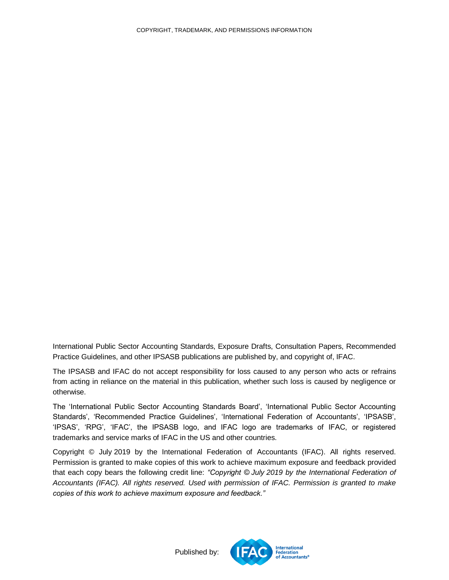<span id="page-29-0"></span>International Public Sector Accounting Standards, Exposure Drafts, Consultation Papers, Recommended Practice Guidelines, and other IPSASB publications are published by, and copyright of, IFAC.

The IPSASB and IFAC do not accept responsibility for loss caused to any person who acts or refrains from acting in reliance on the material in this publication, whether such loss is caused by negligence or otherwise.

The 'International Public Sector Accounting Standards Board', 'International Public Sector Accounting Standards', 'Recommended Practice Guidelines', 'International Federation of Accountants', 'IPSASB', 'IPSAS', 'RPG', 'IFAC', the IPSASB logo, and IFAC logo are trademarks of IFAC, or registered trademarks and service marks of IFAC in the US and other countries.

Copyright © July 2019 by the International Federation of Accountants (IFAC). All rights reserved. Permission is granted to make copies of this work to achieve maximum exposure and feedback provided that each copy bears the following credit line: *"Copyright © July 2019 by the International Federation of Accountants (IFAC). All rights reserved. Used with permission of IFAC. Permission is granted to make copies of this work to achieve maximum exposure and feedback."*